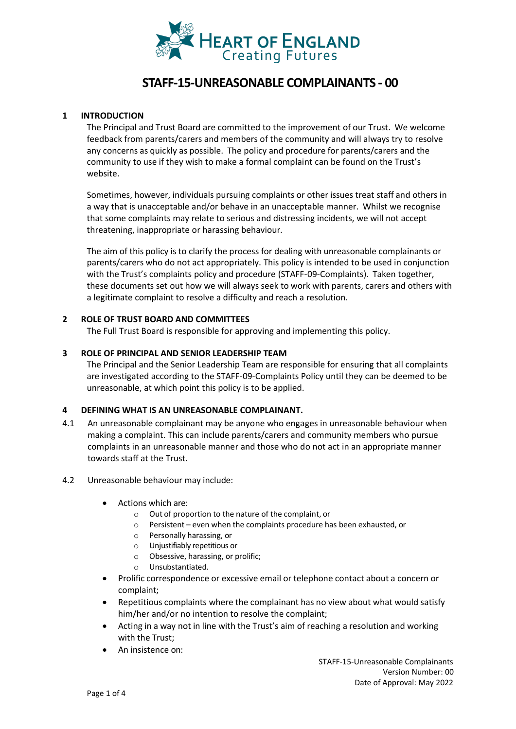

# **STAFF-15-UNREASONABLE COMPLAINANTS - 00**

#### **1 INTRODUCTION**

The Principal and Trust Board are committed to the improvement of our Trust. We welcome feedback from parents/carers and members of the community and will always try to resolve any concerns as quickly as possible. The policy and procedure for parents/carers and the community to use if they wish to make a formal complaint can be found on the Trust's website.

Sometimes, however, individuals pursuing complaints or other issues treat staff and others in a way that is unacceptable and/or behave in an unacceptable manner. Whilst we recognise that some complaints may relate to serious and distressing incidents, we will not accept threatening, inappropriate or harassing behaviour.

The aim of this policy is to clarify the process for dealing with unreasonable complainants or parents/carers who do not act appropriately. This policy is intended to be used in conjunction with the Trust's complaints policy and procedure (STAFF-09-Complaints). Taken together, these documents set out how we will always seek to work with parents, carers and others with a legitimate complaint to resolve a difficulty and reach a resolution.

# **2 ROLE OF TRUST BOARD AND COMMITTEES**

The Full Trust Board is responsible for approving and implementing this policy.

# **3 ROLE OF PRINCIPAL AND SENIOR LEADERSHIP TEAM**

The Principal and the Senior Leadership Team are responsible for ensuring that all complaints are investigated according to the STAFF-09-Complaints Policy until they can be deemed to be unreasonable, at which point this policy is to be applied.

#### **4 DEFINING WHAT IS AN UNREASONABLE COMPLAINANT.**

- 4.1 An unreasonable complainant may be anyone who engages in unreasonable behaviour when making a complaint. This can include parents/carers and community members who pursue complaints in an unreasonable manner and those who do not act in an appropriate manner towards staff at the Trust.
- 4.2 Unreasonable behaviour may include:
	- Actions which are:
		- o Out of proportion to the nature of the complaint, or
		- o Persistent even when the complaints procedure has been exhausted, or
		- o Personally harassing, or
		- o Unjustifiably repetitious or
		- o Obsessive, harassing, or prolific;
		- o Unsubstantiated.
	- Prolific correspondence or excessive email or telephone contact about a concern or complaint;
	- Repetitious complaints where the complainant has no view about what would satisfy him/her and/or no intention to resolve the complaint;
	- Acting in a way not in line with the Trust's aim of reaching a resolution and working with the Trust;
	- An insistence on: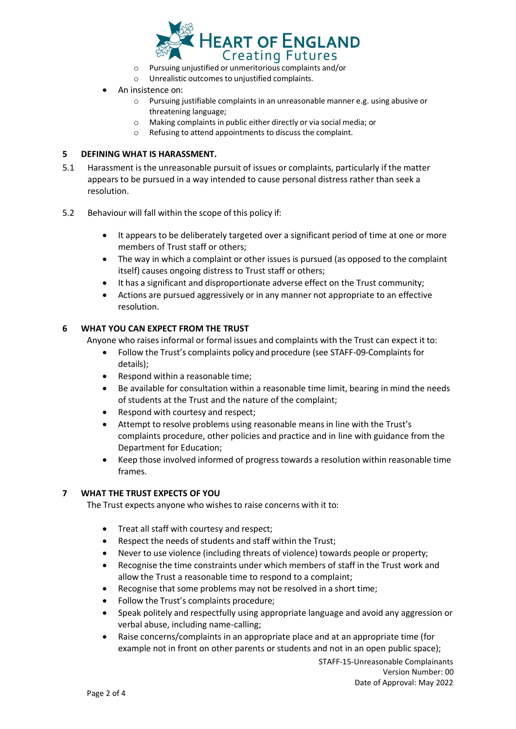

- o Pursuing unjustified or unmeritorious complaints and/or
- o Unrealistic outcomes to unjustified complaints.
- An insistence on:
	- o Pursuing justifiable complaints in an unreasonable manner e.g. using abusive or threatening language;
	- o Making complaints in public either directly or via social media; or
	- o Refusing to attend appointments to discuss the complaint.

#### **5 DEFINING WHAT IS HARASSMENT.**

- 5.1 Harassment is the unreasonable pursuit of issues or complaints, particularly if the matter appears to be pursued in a way intended to cause personal distress rather than seek a resolution.
- 5.2 Behaviour will fall within the scope of this policy if:
	- It appears to be deliberately targeted over a significant period of time at one or more members of Trust staff or others;
	- The way in which a complaint or other issues is pursued (as opposed to the complaint itself) causes ongoing distress to Trust staff or others;
	- It has a significant and disproportionate adverse effect on the Trust community;
	- Actions are pursued aggressively or in any manner not appropriate to an effective resolution.

#### **6 WHAT YOU CAN EXPECT FROM THE TRUST**

Anyone who raises informal or formal issues and complaints with the Trust can expect it to:

- Follow the Trust's complaints policy and procedure (see STAFF-09-Complaints for details);
- Respond within a reasonable time;
- Be available for consultation within a reasonable time limit, bearing in mind the needs of students at the Trust and the nature of the complaint;
- Respond with courtesy and respect;
- Attempt to resolve problems using reasonable meansin line with the Trust's complaints procedure, other policies and practice and in line with guidance from the Department for Education;
- Keep those involved informed of progress towards a resolution within reasonable time frames.

#### **7 WHAT THE TRUST EXPECTS OF YOU**

The Trust expects anyone who wishes to raise concerns with it to:

- Treat all staff with courtesy and respect;
- Respect the needs of students and staff within the Trust;
- Never to use violence (including threats of violence) towards people or property;
- Recognise the time constraints under which members of staff in the Trust work and allow the Trust a reasonable time to respond to a complaint;
- Recognise that some problems may not be resolved in a short time;
- Follow the Trust's complaints procedure;
- Speak politely and respectfully using appropriate language and avoid any aggression or verbal abuse, including name-calling;
- Raise concerns/complaints in an appropriate place and at an appropriate time (for example not in front on other parents or students and not in an open public space);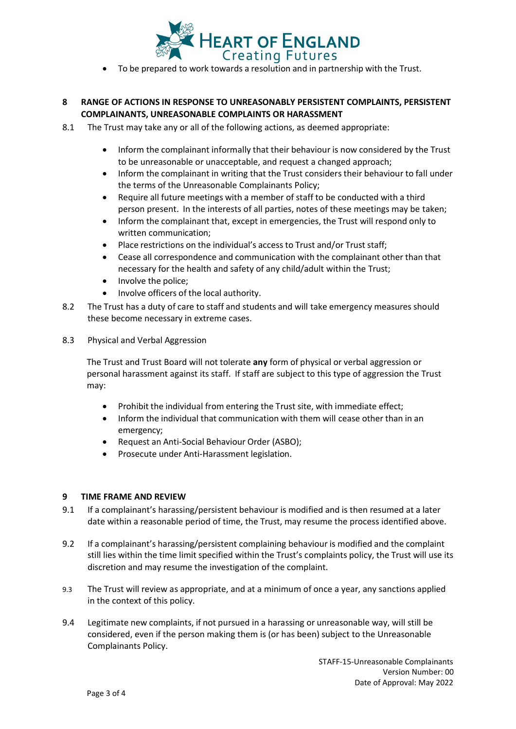

• To be prepared to work towards a resolution and in partnership with the Trust.

# **8 RANGE OF ACTIONS IN RESPONSE TO UNREASONABLY PERSISTENT COMPLAINTS, PERSISTENT COMPLAINANTS, UNREASONABLE COMPLAINTS OR HARASSMENT**

- 8.1 The Trust may take any or all of the following actions, as deemed appropriate:
	- Inform the complainant informally that their behaviour is now considered by the Trust to be unreasonable or unacceptable, and request a changed approach;
	- Inform the complainant in writing that the Trust considers their behaviour to fall under the terms of the Unreasonable Complainants Policy;
	- Require all future meetings with a member of staff to be conducted with a third person present. In the interests of all parties, notes of these meetings may be taken;
	- Inform the complainant that, except in emergencies, the Trust will respond only to written communication;
	- Place restrictions on the individual's access to Trust and/or Trust staff;
	- Cease all correspondence and communication with the complainant other than that necessary for the health and safety of any child/adult within the Trust;
	- Involve the police;
	- Involve officers of the local authority.
- 8.2 The Trust has a duty of care to staff and students and will take emergency measures should these become necessary in extreme cases.
- 8.3 Physical and Verbal Aggression

The Trust and Trust Board will not tolerate **any** form of physical or verbal aggression or personal harassment against its staff. If staff are subject to this type of aggression the Trust may:

- Prohibit the individual from entering the Trust site, with immediate effect;
- Inform the individual that communication with them will cease other than in an emergency;
- Request an Anti-Social Behaviour Order (ASBO);
- Prosecute under Anti-Harassment legislation.

#### **9 TIME FRAME AND REVIEW**

- 9.1 If a complainant's harassing/persistent behaviour is modified and is then resumed at a later date within a reasonable period of time, the Trust, may resume the process identified above.
- 9.2 If a complainant's harassing/persistent complaining behaviour is modified and the complaint still lies within the time limit specified within the Trust's complaints policy, the Trust will use its discretion and may resume the investigation of the complaint.
- 9.3 The Trust will review as appropriate, and at a minimum of once a year, any sanctions applied in the context of this policy.
- 9.4 Legitimate new complaints, if not pursued in a harassing or unreasonable way, will still be considered, even if the person making them is (or has been) subject to the Unreasonable Complainants Policy.